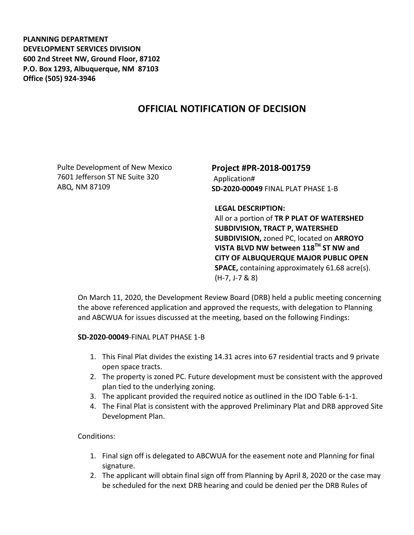**PLANNING DEPARTMENT DEVELOPMENT SERVICES DIVISION 600 2nd Street NW, Ground Floor, 87102 P.O. Box 1293, Albuquerque, NM 87103 Office (505) 924-3946** 

## **OFFICIAL NOTIFICATION OF DECISION**

Pulte Development of New Mexico 7601 Jefferson ST NE Suite 320 ABQ, NM 87109

**Project #PR-2018-001759**  Application# **SD-2020-00049** FINAL PLAT PHASE 1-B

**LEGAL DESCRIPTION:** 

All or a portion of **TR P PLAT OF WATERSHED SUBDIVISION, TRACT P, WATERSHED SUBDIVISION,** zoned PC, located on **ARROYO VISTA BLVD NW between 118TH ST NW and CITY OF ALBUQUERQUE MAJOR PUBLIC OPEN SPACE,** containing approximately 61.68 acre(s). (H-7, J-7 & 8)

On March 11, 2020, the Development Review Board (DRB) held a public meeting concerning the above referenced application and approved the requests, with delegation to Planning and ABCWUA for issues discussed at the meeting, based on the following Findings:

## **SD-2020-00049**-FINAL PLAT PHASE 1-B

- 1. This Final Plat divides the existing 14.31 acres into 67 residential tracts and 9 private open space tracts.
- 2. The property is zoned PC. Future development must be consistent with the approved plan tied to the underlying zoning.
- 3. The applicant provided the required notice as outlined in the IDO Table 6-1-1.
- 4. The Final Plat is consistent with the approved Preliminary Plat and DRB approved Site Development Plan.

## Conditions:

- 1. Final sign off is delegated to ABCWUA for the easement note and Planning for final signature.
- 2. The applicant will obtain final sign off from Planning by April 8, 2020 or the case may be scheduled for the next DRB hearing and could be denied per the DRB Rules of